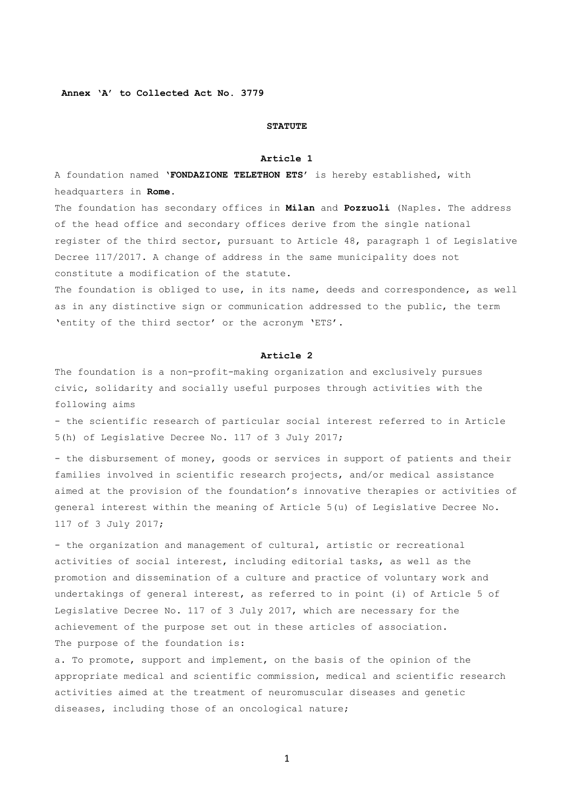**Annex 'A' to Collected Act No. 3779** 

### **STATUTE**

#### **Article 1**

A foundation named '**FONDAZIONE TELETHON ETS**' is hereby established, with headquarters in **Rome**.

The foundation has secondary offices in **Milan** and **Pozzuoli** (Naples. The address of the head office and secondary offices derive from the single national register of the third sector, pursuant to Article 48, paragraph 1 of Legislative Decree 117/2017. A change of address in the same municipality does not constitute a modification of the statute.

The foundation is obliged to use, in its name, deeds and correspondence, as well as in any distinctive sign or communication addressed to the public, the term 'entity of the third sector' or the acronym 'ETS'.

### **Article 2**

The foundation is a non-profit-making organization and exclusively pursues civic, solidarity and socially useful purposes through activities with the following aims

- the scientific research of particular social interest referred to in Article 5(h) of Legislative Decree No. 117 of 3 July 2017;

- the disbursement of money, goods or services in support of patients and their families involved in scientific research projects, and/or medical assistance aimed at the provision of the foundation's innovative therapies or activities of general interest within the meaning of Article 5(u) of Legislative Decree No. 117 of 3 July 2017;

- the organization and management of cultural, artistic or recreational activities of social interest, including editorial tasks, as well as the promotion and dissemination of a culture and practice of voluntary work and undertakings of general interest, as referred to in point (i) of Article 5 of Legislative Decree No. 117 of 3 July 2017, which are necessary for the achievement of the purpose set out in these articles of association. The purpose of the foundation is:

a. To promote, support and implement, on the basis of the opinion of the appropriate medical and scientific commission, medical and scientific research activities aimed at the treatment of neuromuscular diseases and genetic diseases, including those of an oncological nature;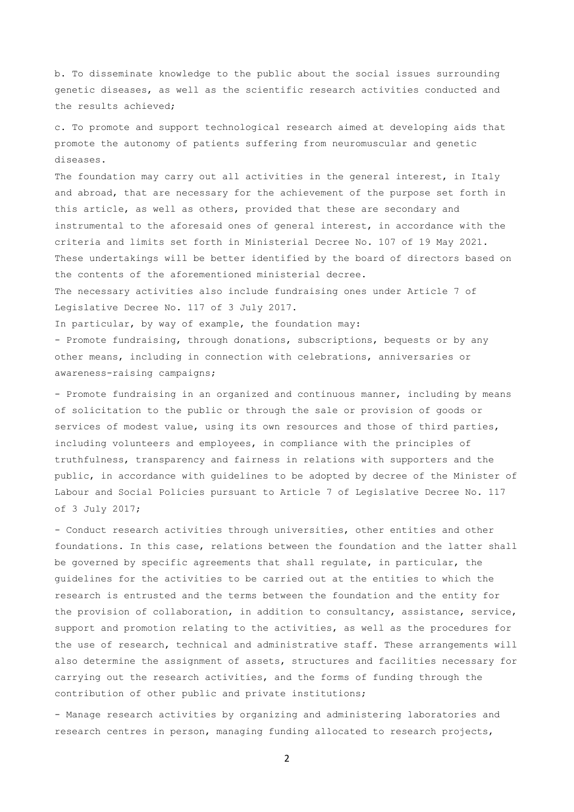b. To disseminate knowledge to the public about the social issues surrounding genetic diseases, as well as the scientific research activities conducted and the results achieved;

c. To promote and support technological research aimed at developing aids that promote the autonomy of patients suffering from neuromuscular and genetic diseases.

The foundation may carry out all activities in the general interest, in Italy and abroad, that are necessary for the achievement of the purpose set forth in this article, as well as others, provided that these are secondary and instrumental to the aforesaid ones of general interest, in accordance with the criteria and limits set forth in Ministerial Decree No. 107 of 19 May 2021. These undertakings will be better identified by the board of directors based on the contents of the aforementioned ministerial decree.

The necessary activities also include fundraising ones under Article 7 of Legislative Decree No. 117 of 3 July 2017.

In particular, by way of example, the foundation may:

- Promote fundraising, through donations, subscriptions, bequests or by any other means, including in connection with celebrations, anniversaries or awareness-raising campaigns;

- Promote fundraising in an organized and continuous manner, including by means of solicitation to the public or through the sale or provision of goods or services of modest value, using its own resources and those of third parties, including volunteers and employees, in compliance with the principles of truthfulness, transparency and fairness in relations with supporters and the public, in accordance with guidelines to be adopted by decree of the Minister of Labour and Social Policies pursuant to Article 7 of Legislative Decree No. 117 of 3 July 2017;

- Conduct research activities through universities, other entities and other foundations. In this case, relations between the foundation and the latter shall be governed by specific agreements that shall regulate, in particular, the guidelines for the activities to be carried out at the entities to which the research is entrusted and the terms between the foundation and the entity for the provision of collaboration, in addition to consultancy, assistance, service, support and promotion relating to the activities, as well as the procedures for the use of research, technical and administrative staff. These arrangements will also determine the assignment of assets, structures and facilities necessary for carrying out the research activities, and the forms of funding through the contribution of other public and private institutions;

- Manage research activities by organizing and administering laboratories and research centres in person, managing funding allocated to research projects,

 $\overline{2}$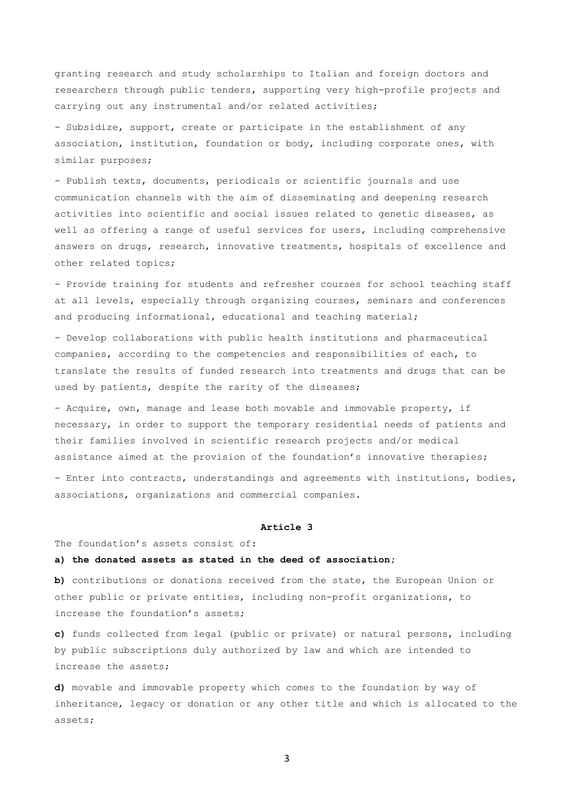granting research and study scholarships to Italian and foreign doctors and researchers through public tenders, supporting very high-profile projects and carrying out any instrumental and/or related activities;

- Subsidize, support, create or participate in the establishment of any association, institution, foundation or body, including corporate ones, with similar purposes;

- Publish texts, documents, periodicals or scientific journals and use communication channels with the aim of disseminating and deepening research activities into scientific and social issues related to genetic diseases, as well as offering a range of useful services for users, including comprehensive answers on drugs, research, innovative treatments, hospitals of excellence and other related topics;

- Provide training for students and refresher courses for school teaching staff at all levels, especially through organizing courses, seminars and conferences and producing informational, educational and teaching material;

- Develop collaborations with public health institutions and pharmaceutical companies, according to the competencies and responsibilities of each, to translate the results of funded research into treatments and drugs that can be used by patients, despite the rarity of the diseases;

- Acquire, own, manage and lease both movable and immovable property, if necessary, in order to support the temporary residential needs of patients and their families involved in scientific research projects and/or medical assistance aimed at the provision of the foundation's innovative therapies;

- Enter into contracts, understandings and agreements with institutions, bodies, associations, organizations and commercial companies.

#### **Article 3**

The foundation's assets consist of:

# **a) the donated assets as stated in the deed of association;**

**b)** contributions or donations received from the state, the European Union or other public or private entities, including non-profit organizations, to increase the foundation's assets;

**c)** funds collected from legal (public or private) or natural persons, including by public subscriptions duly authorized by law and which are intended to increase the assets;

**d)** movable and immovable property which comes to the foundation by way of inheritance, legacy or donation or any other title and which is allocated to the assets;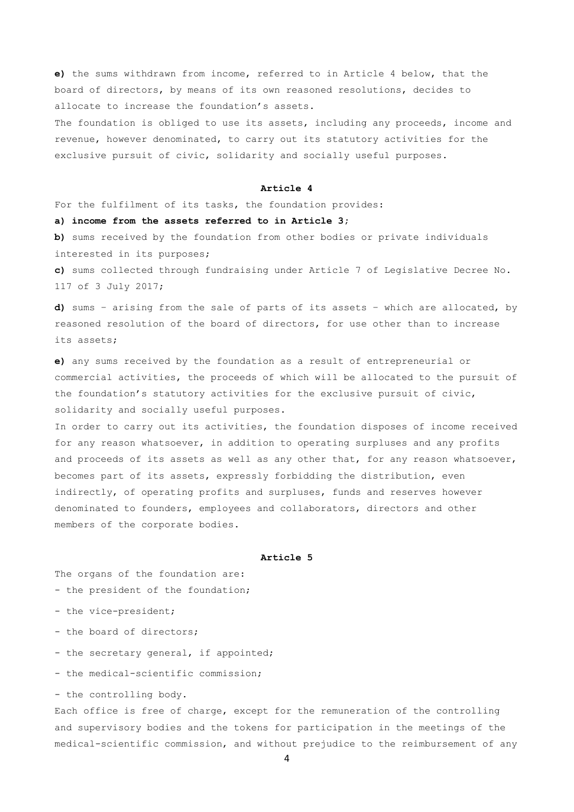**e)** the sums withdrawn from income, referred to in Article 4 below, that the board of directors, by means of its own reasoned resolutions, decides to allocate to increase the foundation's assets.

The foundation is obliged to use its assets, including any proceeds, income and revenue, however denominated, to carry out its statutory activities for the exclusive pursuit of civic, solidarity and socially useful purposes.

## **Article 4**

For the fulfilment of its tasks, the foundation provides:

# **a) income from the assets referred to in Article 3;**

**b)** sums received by the foundation from other bodies or private individuals interested in its purposes;

**c)** sums collected through fundraising under Article 7 of Legislative Decree No. 117 of 3 July 2017;

**d)** sums – arising from the sale of parts of its assets – which are allocated, by reasoned resolution of the board of directors, for use other than to increase its assets;

**e)** any sums received by the foundation as a result of entrepreneurial or commercial activities, the proceeds of which will be allocated to the pursuit of the foundation's statutory activities for the exclusive pursuit of civic, solidarity and socially useful purposes.

In order to carry out its activities, the foundation disposes of income received for any reason whatsoever, in addition to operating surpluses and any profits and proceeds of its assets as well as any other that, for any reason whatsoever, becomes part of its assets, expressly forbidding the distribution, even indirectly, of operating profits and surpluses, funds and reserves however denominated to founders, employees and collaborators, directors and other members of the corporate bodies.

### **Article 5**

The organs of the foundation are: - the president of the foundation;

- 
- the vice-president;
- the board of directors;
- the secretary general, if appointed;
- the medical-scientific commission;
- the controlling body.

Each office is free of charge, except for the remuneration of the controlling and supervisory bodies and the tokens for participation in the meetings of the medical-scientific commission, and without prejudice to the reimbursement of any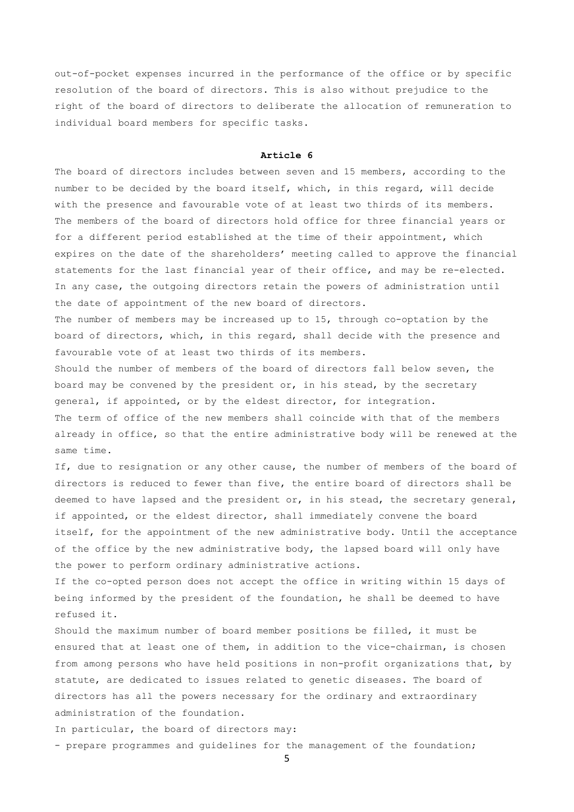out-of-pocket expenses incurred in the performance of the office or by specific resolution of the board of directors. This is also without prejudice to the right of the board of directors to deliberate the allocation of remuneration to individual board members for specific tasks.

### **Article 6**

The board of directors includes between seven and 15 members, according to the number to be decided by the board itself, which, in this regard, will decide with the presence and favourable vote of at least two thirds of its members. The members of the board of directors hold office for three financial years or for a different period established at the time of their appointment, which expires on the date of the shareholders' meeting called to approve the financial statements for the last financial year of their office, and may be re-elected. In any case, the outgoing directors retain the powers of administration until the date of appointment of the new board of directors.

The number of members may be increased up to 15, through co-optation by the board of directors, which, in this regard, shall decide with the presence and favourable vote of at least two thirds of its members.

Should the number of members of the board of directors fall below seven, the board may be convened by the president or, in his stead, by the secretary general, if appointed, or by the eldest director, for integration. The term of office of the new members shall coincide with that of the members already in office, so that the entire administrative body will be renewed at the same time.

If, due to resignation or any other cause, the number of members of the board of directors is reduced to fewer than five, the entire board of directors shall be deemed to have lapsed and the president or, in his stead, the secretary general, if appointed, or the eldest director, shall immediately convene the board itself, for the appointment of the new administrative body. Until the acceptance of the office by the new administrative body, the lapsed board will only have the power to perform ordinary administrative actions.

If the co-opted person does not accept the office in writing within 15 days of being informed by the president of the foundation, he shall be deemed to have refused it.

Should the maximum number of board member positions be filled, it must be ensured that at least one of them, in addition to the vice-chairman, is chosen from among persons who have held positions in non-profit organizations that, by statute, are dedicated to issues related to genetic diseases. The board of directors has all the powers necessary for the ordinary and extraordinary administration of the foundation.

In particular, the board of directors may:

- prepare programmes and guidelines for the management of the foundation;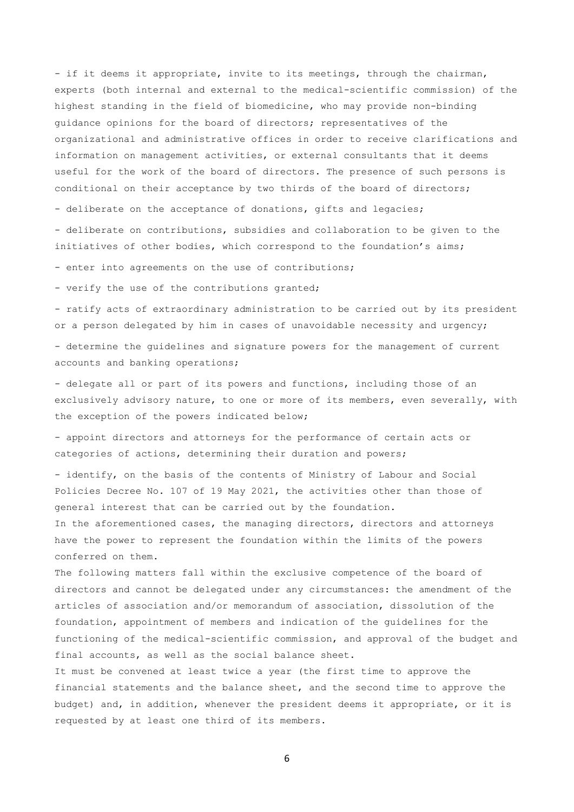- if it deems it appropriate, invite to its meetings, through the chairman, experts (both internal and external to the medical-scientific commission) of the highest standing in the field of biomedicine, who may provide non-binding guidance opinions for the board of directors; representatives of the organizational and administrative offices in order to receive clarifications and information on management activities, or external consultants that it deems useful for the work of the board of directors. The presence of such persons is conditional on their acceptance by two thirds of the board of directors;

- deliberate on the acceptance of donations, gifts and legacies;

- deliberate on contributions, subsidies and collaboration to be given to the initiatives of other bodies, which correspond to the foundation's aims;

- enter into agreements on the use of contributions;

- verify the use of the contributions granted;

- ratify acts of extraordinary administration to be carried out by its president or a person delegated by him in cases of unavoidable necessity and urgency;

- determine the guidelines and signature powers for the management of current accounts and banking operations;

- delegate all or part of its powers and functions, including those of an exclusively advisory nature, to one or more of its members, even severally, with the exception of the powers indicated below;

- appoint directors and attorneys for the performance of certain acts or categories of actions, determining their duration and powers;

- identify, on the basis of the contents of Ministry of Labour and Social Policies Decree No. 107 of 19 May 2021, the activities other than those of general interest that can be carried out by the foundation. In the aforementioned cases, the managing directors, directors and attorneys have the power to represent the foundation within the limits of the powers conferred on them.

The following matters fall within the exclusive competence of the board of directors and cannot be delegated under any circumstances: the amendment of the articles of association and/or memorandum of association, dissolution of the foundation, appointment of members and indication of the guidelines for the functioning of the medical-scientific commission, and approval of the budget and final accounts, as well as the social balance sheet.

It must be convened at least twice a year (the first time to approve the financial statements and the balance sheet, and the second time to approve the budget) and, in addition, whenever the president deems it appropriate, or it is requested by at least one third of its members.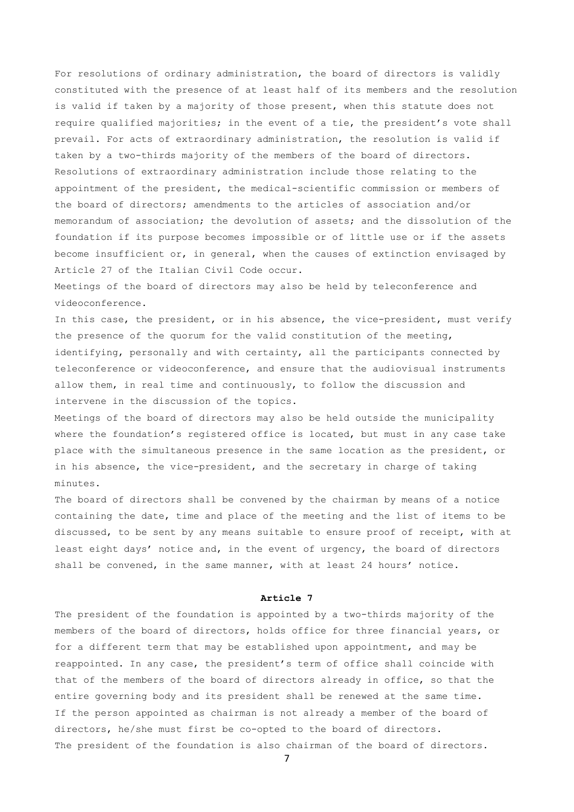For resolutions of ordinary administration, the board of directors is validly constituted with the presence of at least half of its members and the resolution is valid if taken by a majority of those present, when this statute does not require qualified majorities; in the event of a tie, the president's vote shall prevail. For acts of extraordinary administration, the resolution is valid if taken by a two-thirds majority of the members of the board of directors. Resolutions of extraordinary administration include those relating to the appointment of the president, the medical-scientific commission or members of the board of directors; amendments to the articles of association and/or memorandum of association; the devolution of assets; and the dissolution of the foundation if its purpose becomes impossible or of little use or if the assets become insufficient or, in general, when the causes of extinction envisaged by Article 27 of the Italian Civil Code occur.

Meetings of the board of directors may also be held by teleconference and videoconference.

In this case, the president, or in his absence, the vice-president, must verify the presence of the quorum for the valid constitution of the meeting, identifying, personally and with certainty, all the participants connected by teleconference or videoconference, and ensure that the audiovisual instruments allow them, in real time and continuously, to follow the discussion and intervene in the discussion of the topics.

Meetings of the board of directors may also be held outside the municipality where the foundation's registered office is located, but must in any case take place with the simultaneous presence in the same location as the president, or in his absence, the vice-president, and the secretary in charge of taking minutes.

The board of directors shall be convened by the chairman by means of a notice containing the date, time and place of the meeting and the list of items to be discussed, to be sent by any means suitable to ensure proof of receipt, with at least eight days' notice and, in the event of urgency, the board of directors shall be convened, in the same manner, with at least 24 hours' notice.

### **Article 7**

The president of the foundation is appointed by a two-thirds majority of the members of the board of directors, holds office for three financial years, or for a different term that may be established upon appointment, and may be reappointed. In any case, the president's term of office shall coincide with that of the members of the board of directors already in office, so that the entire governing body and its president shall be renewed at the same time. If the person appointed as chairman is not already a member of the board of directors, he/she must first be co-opted to the board of directors. The president of the foundation is also chairman of the board of directors.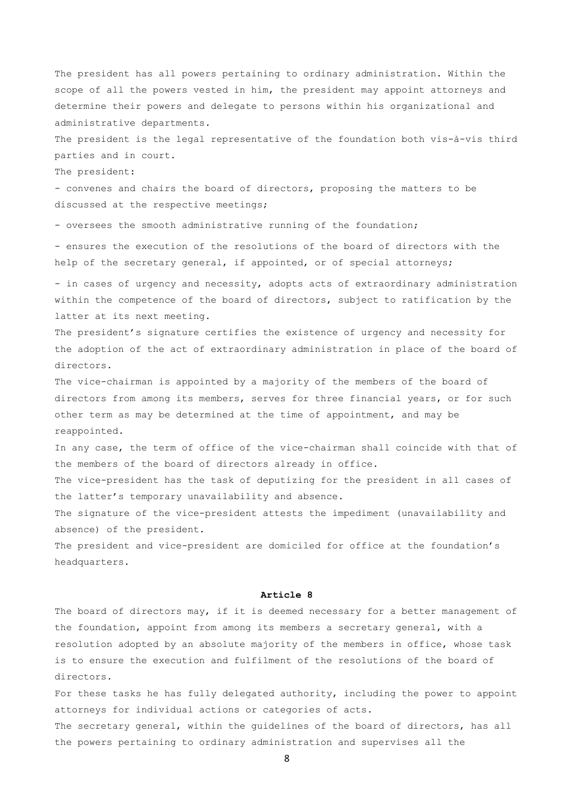The president has all powers pertaining to ordinary administration. Within the scope of all the powers vested in him, the president may appoint attorneys and determine their powers and delegate to persons within his organizational and administrative departments.

The president is the legal representative of the foundation both vis-à-vis third parties and in court.

The president:

- convenes and chairs the board of directors, proposing the matters to be discussed at the respective meetings;

- oversees the smooth administrative running of the foundation;

- ensures the execution of the resolutions of the board of directors with the help of the secretary general, if appointed, or of special attorneys;

- in cases of urgency and necessity, adopts acts of extraordinary administration within the competence of the board of directors, subject to ratification by the latter at its next meeting.

The president's signature certifies the existence of urgency and necessity for the adoption of the act of extraordinary administration in place of the board of directors.

The vice-chairman is appointed by a majority of the members of the board of directors from among its members, serves for three financial years, or for such other term as may be determined at the time of appointment, and may be reappointed.

In any case, the term of office of the vice-chairman shall coincide with that of the members of the board of directors already in office.

The vice-president has the task of deputizing for the president in all cases of the latter's temporary unavailability and absence.

The signature of the vice-president attests the impediment (unavailability and absence) of the president.

The president and vice-president are domiciled for office at the foundation's headquarters.

## **Article 8**

The board of directors may, if it is deemed necessary for a better management of the foundation, appoint from among its members a secretary general, with a resolution adopted by an absolute majority of the members in office, whose task is to ensure the execution and fulfilment of the resolutions of the board of directors.

For these tasks he has fully delegated authority, including the power to appoint attorneys for individual actions or categories of acts. The secretary general, within the guidelines of the board of directors, has all

8

the powers pertaining to ordinary administration and supervises all the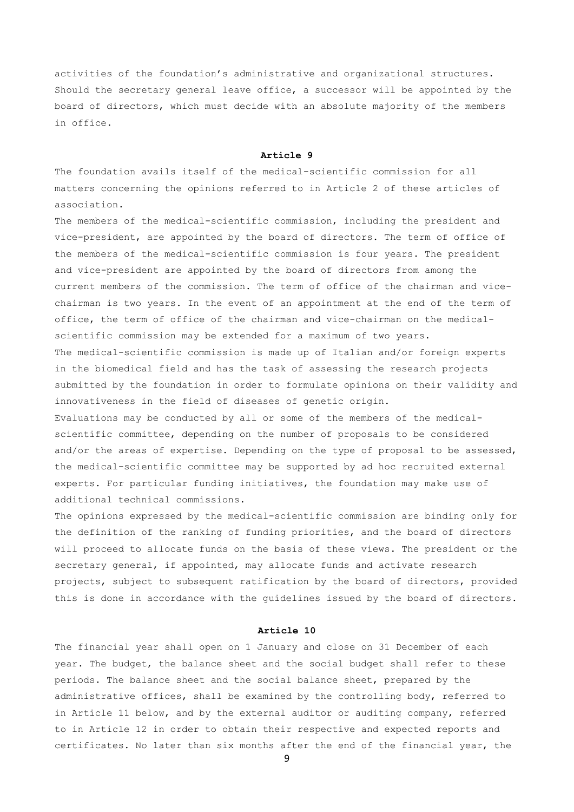activities of the foundation's administrative and organizational structures. Should the secretary general leave office, a successor will be appointed by the board of directors, which must decide with an absolute majority of the members in office.

# **Article 9**

The foundation avails itself of the medical-scientific commission for all matters concerning the opinions referred to in Article 2 of these articles of association.

The members of the medical-scientific commission, including the president and vice-president, are appointed by the board of directors. The term of office of the members of the medical-scientific commission is four years. The president and vice-president are appointed by the board of directors from among the current members of the commission. The term of office of the chairman and vicechairman is two years. In the event of an appointment at the end of the term of office, the term of office of the chairman and vice-chairman on the medicalscientific commission may be extended for a maximum of two years. The medical-scientific commission is made up of Italian and/or foreign experts in the biomedical field and has the task of assessing the research projects submitted by the foundation in order to formulate opinions on their validity and innovativeness in the field of diseases of genetic origin. Evaluations may be conducted by all or some of the members of the medicalscientific committee, depending on the number of proposals to be considered and/or the areas of expertise. Depending on the type of proposal to be assessed,

the medical-scientific committee may be supported by ad hoc recruited external experts. For particular funding initiatives, the foundation may make use of additional technical commissions.

The opinions expressed by the medical-scientific commission are binding only for the definition of the ranking of funding priorities, and the board of directors will proceed to allocate funds on the basis of these views. The president or the secretary general, if appointed, may allocate funds and activate research projects, subject to subsequent ratification by the board of directors, provided this is done in accordance with the guidelines issued by the board of directors.

### **Article 10**

The financial year shall open on 1 January and close on 31 December of each year. The budget, the balance sheet and the social budget shall refer to these periods. The balance sheet and the social balance sheet, prepared by the administrative offices, shall be examined by the controlling body, referred to in Article 11 below, and by the external auditor or auditing company, referred to in Article 12 in order to obtain their respective and expected reports and certificates. No later than six months after the end of the financial year, the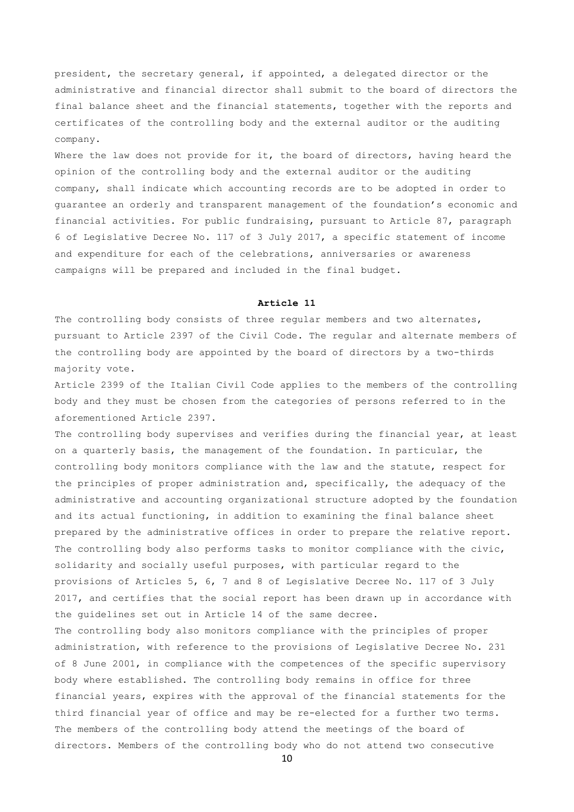president, the secretary general, if appointed, a delegated director or the administrative and financial director shall submit to the board of directors the final balance sheet and the financial statements, together with the reports and certificates of the controlling body and the external auditor or the auditing company.

Where the law does not provide for it, the board of directors, having heard the opinion of the controlling body and the external auditor or the auditing company, shall indicate which accounting records are to be adopted in order to guarantee an orderly and transparent management of the foundation's economic and financial activities. For public fundraising, pursuant to Article 87, paragraph 6 of Legislative Decree No. 117 of 3 July 2017, a specific statement of income and expenditure for each of the celebrations, anniversaries or awareness campaigns will be prepared and included in the final budget.

### **Article 11**

The controlling body consists of three regular members and two alternates, pursuant to Article 2397 of the Civil Code. The regular and alternate members of the controlling body are appointed by the board of directors by a two-thirds majority vote.

Article 2399 of the Italian Civil Code applies to the members of the controlling body and they must be chosen from the categories of persons referred to in the aforementioned Article 2397.

The controlling body supervises and verifies during the financial year, at least on a quarterly basis, the management of the foundation. In particular, the controlling body monitors compliance with the law and the statute, respect for the principles of proper administration and, specifically, the adequacy of the administrative and accounting organizational structure adopted by the foundation and its actual functioning, in addition to examining the final balance sheet prepared by the administrative offices in order to prepare the relative report. The controlling body also performs tasks to monitor compliance with the civic, solidarity and socially useful purposes, with particular regard to the provisions of Articles 5, 6, 7 and 8 of Legislative Decree No. 117 of 3 July 2017, and certifies that the social report has been drawn up in accordance with the guidelines set out in Article 14 of the same decree.

The controlling body also monitors compliance with the principles of proper administration, with reference to the provisions of Legislative Decree No. 231 of 8 June 2001, in compliance with the competences of the specific supervisory body where established. The controlling body remains in office for three financial years, expires with the approval of the financial statements for the third financial year of office and may be re-elected for a further two terms. The members of the controlling body attend the meetings of the board of directors. Members of the controlling body who do not attend two consecutive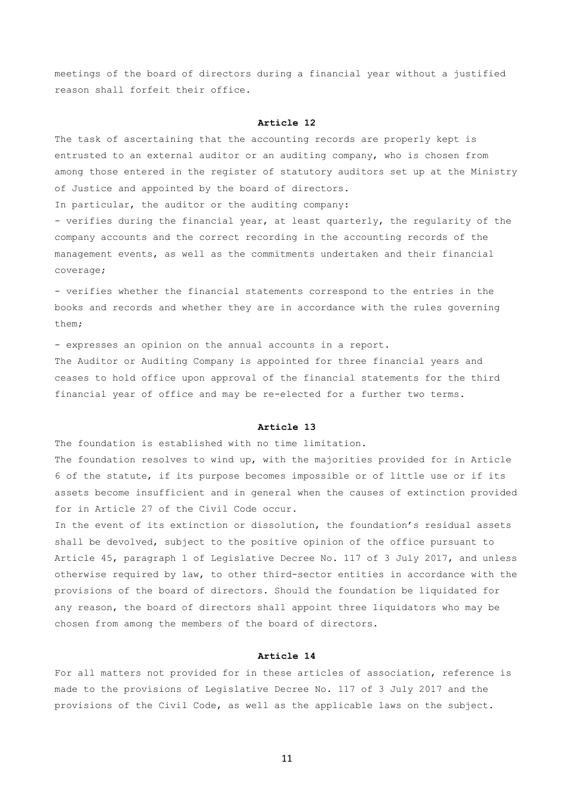meetings of the board of directors during a financial year without a justified reason shall forfeit their office.

### **Article 12**

The task of ascertaining that the accounting records are properly kept is entrusted to an external auditor or an auditing company, who is chosen from among those entered in the register of statutory auditors set up at the Ministry of Justice and appointed by the board of directors.

In particular, the auditor or the auditing company:

- verifies during the financial year, at least quarterly, the regularity of the company accounts and the correct recording in the accounting records of the management events, as well as the commitments undertaken and their financial coverage;

- verifies whether the financial statements correspond to the entries in the books and records and whether they are in accordance with the rules governing them;

- expresses an opinion on the annual accounts in a report.

The Auditor or Auditing Company is appointed for three financial years and ceases to hold office upon approval of the financial statements for the third financial year of office and may be re-elected for a further two terms.

### **Article 13**

The foundation is established with no time limitation.

The foundation resolves to wind up, with the majorities provided for in Article 6 of the statute, if its purpose becomes impossible or of little use or if its assets become insufficient and in general when the causes of extinction provided for in Article 27 of the Civil Code occur.

In the event of its extinction or dissolution, the foundation's residual assets shall be devolved, subject to the positive opinion of the office pursuant to Article 45, paragraph 1 of Legislative Decree No. 117 of 3 July 2017, and unless otherwise required by law, to other third-sector entities in accordance with the provisions of the board of directors. Should the foundation be liquidated for any reason, the board of directors shall appoint three liquidators who may be chosen from among the members of the board of directors.

# **Article 14**

For all matters not provided for in these articles of association, reference is made to the provisions of Legislative Decree No. 117 of 3 July 2017 and the provisions of the Civil Code, as well as the applicable laws on the subject.